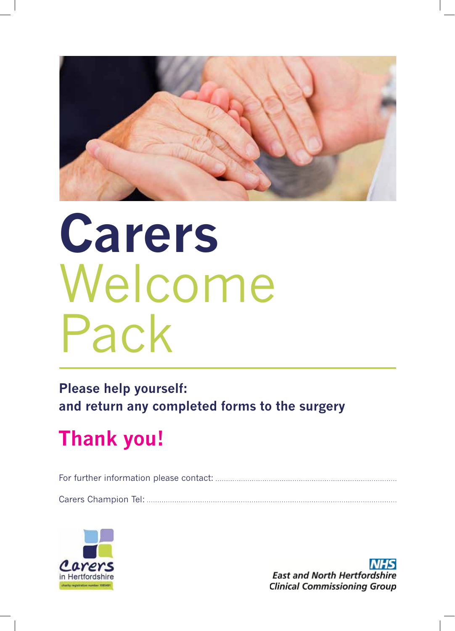

# **Carers** Welcome Pack

**Please help yourself: and return any completed forms to the surgery**

## **Thank you!**

For further information please contact:

Carers Champion Tel:



**NHS East and North Hertfordshire Clinical Commissioning Group**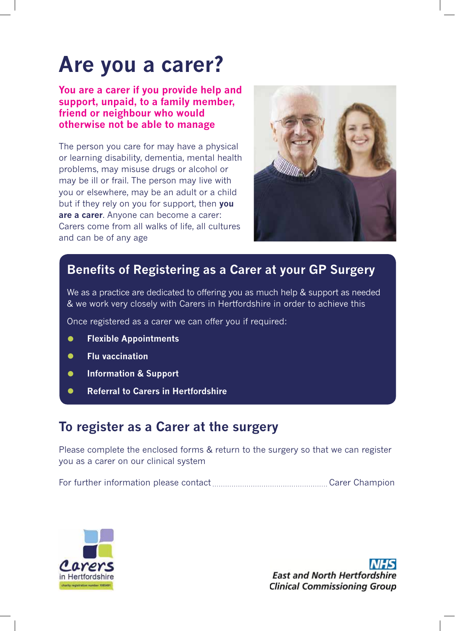### **Are you a carer?**

#### **You are a carer if you provide help and support, unpaid, to a family member, friend or neighbour who would otherwise not be able to manage**

The person you care for may have a physical or learning disability, dementia, mental health problems, may misuse drugs or alcohol or may be ill or frail. The person may live with you or elsewhere, may be an adult or a child but if they rely on you for support, then **you are a carer**. Anyone can become a carer: Carers come from all walks of life, all cultures and can be of any age



### **Benefits of Registering as a Carer at your GP Surgery**

We as a practice are dedicated to offering you as much help & support as needed & we work very closely with Carers in Hertfordshire in order to achieve this

Once registered as a carer we can offer you if required:

- **• Flexible Appointments**
- **• Flu vaccination**
- **• Information & Support**
- **• Referral to Carers in Hertfordshire**

### **To register as a Carer at the surgery**

Please complete the enclosed forms & return to the surgery so that we can register you as a carer on our clinical system

For further information please contact Carer Champion